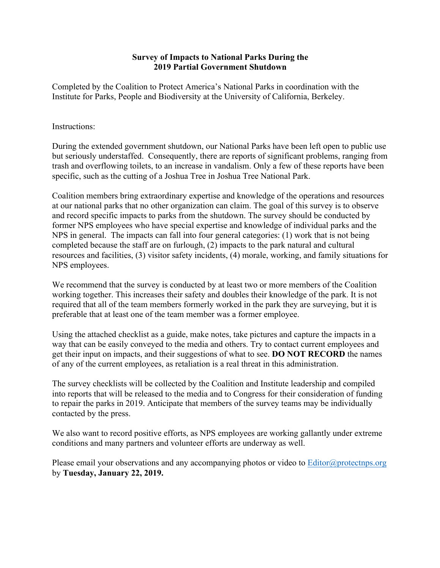# **Survey of Impacts to National Parks During the 2019 Partial Government Shutdown**

Completed by the Coalition to Protect America's National Parks in coordination with the Institute for Parks, People and Biodiversity at the University of California, Berkeley.

### Instructions:

During the extended government shutdown, our National Parks have been left open to public use but seriously understaffed. Consequently, there are reports of significant problems, ranging from trash and overflowing toilets, to an increase in vandalism. Only a few of these reports have been specific, such as the cutting of a Joshua Tree in Joshua Tree National Park.

Coalition members bring extraordinary expertise and knowledge of the operations and resources at our national parks that no other organization can claim. The goal of this survey is to observe and record specific impacts to parks from the shutdown. The survey should be conducted by former NPS employees who have special expertise and knowledge of individual parks and the NPS in general. The impacts can fall into four general categories: (1) work that is not being completed because the staff are on furlough, (2) impacts to the park natural and cultural resources and facilities, (3) visitor safety incidents, (4) morale, working, and family situations for NPS employees.

We recommend that the survey is conducted by at least two or more members of the Coalition working together. This increases their safety and doubles their knowledge of the park. It is not required that all of the team members formerly worked in the park they are surveying, but it is preferable that at least one of the team member was a former employee.

Using the attached checklist as a guide, make notes, take pictures and capture the impacts in a way that can be easily conveyed to the media and others. Try to contact current employees and get their input on impacts, and their suggestions of what to see. **DO NOT RECORD** the names of any of the current employees, as retaliation is a real threat in this administration.

The survey checklists will be collected by the Coalition and Institute leadership and compiled into reports that will be released to the media and to Congress for their consideration of funding to repair the parks in 2019. Anticipate that members of the survey teams may be individually contacted by the press.

We also want to record positive efforts, as NPS employees are working gallantly under extreme conditions and many partners and volunteer efforts are underway as well.

Please email your observations and any accompanying photos or video to Editor@protectnps.org by **Tuesday, January 22, 2019.**